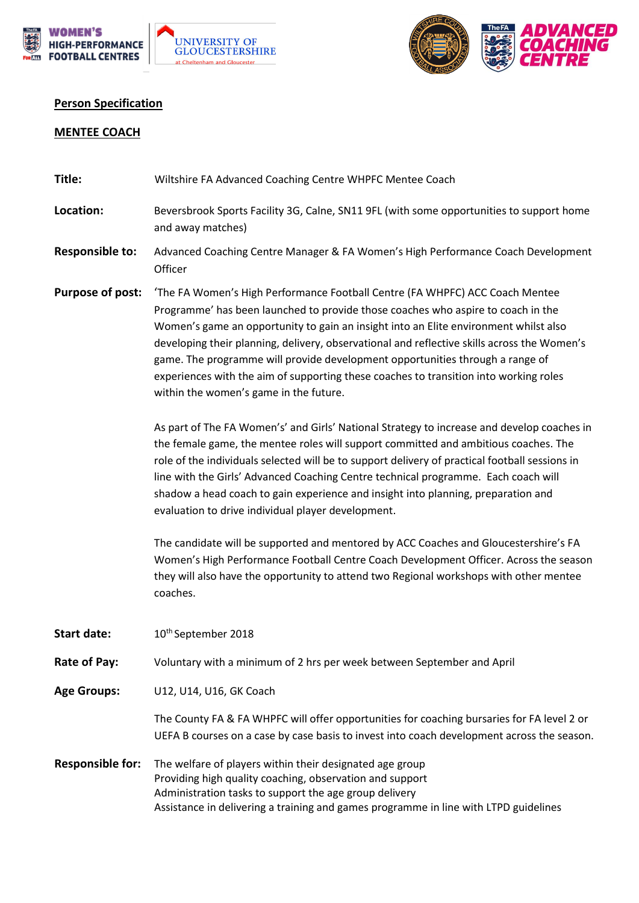



## **Person Specification**

## **MENTEE COACH**

| Title:                  | Wiltshire FA Advanced Coaching Centre WHPFC Mentee Coach                                                                                                                                                                                                                                                                                                                                                                                                                                                                                                                    |
|-------------------------|-----------------------------------------------------------------------------------------------------------------------------------------------------------------------------------------------------------------------------------------------------------------------------------------------------------------------------------------------------------------------------------------------------------------------------------------------------------------------------------------------------------------------------------------------------------------------------|
| Location:               | Beversbrook Sports Facility 3G, Calne, SN11 9FL (with some opportunities to support home<br>and away matches)                                                                                                                                                                                                                                                                                                                                                                                                                                                               |
| Responsible to:         | Advanced Coaching Centre Manager & FA Women's High Performance Coach Development<br>Officer                                                                                                                                                                                                                                                                                                                                                                                                                                                                                 |
| Purpose of post:        | 'The FA Women's High Performance Football Centre (FA WHPFC) ACC Coach Mentee<br>Programme' has been launched to provide those coaches who aspire to coach in the<br>Women's game an opportunity to gain an insight into an Elite environment whilst also<br>developing their planning, delivery, observational and reflective skills across the Women's<br>game. The programme will provide development opportunities through a range of<br>experiences with the aim of supporting these coaches to transition into working roles<br>within the women's game in the future. |
|                         | As part of The FA Women's' and Girls' National Strategy to increase and develop coaches in<br>the female game, the mentee roles will support committed and ambitious coaches. The<br>role of the individuals selected will be to support delivery of practical football sessions in<br>line with the Girls' Advanced Coaching Centre technical programme. Each coach will<br>shadow a head coach to gain experience and insight into planning, preparation and<br>evaluation to drive individual player development.                                                        |
|                         | The candidate will be supported and mentored by ACC Coaches and Gloucestershire's FA<br>Women's High Performance Football Centre Coach Development Officer. Across the season<br>they will also have the opportunity to attend two Regional workshops with other mentee<br>coaches.                                                                                                                                                                                                                                                                                         |
| <b>Start date:</b>      | 10 <sup>th</sup> September 2018                                                                                                                                                                                                                                                                                                                                                                                                                                                                                                                                             |
| Rate of Pay:            | Voluntary with a minimum of 2 hrs per week between September and April                                                                                                                                                                                                                                                                                                                                                                                                                                                                                                      |
| <b>Age Groups:</b>      | U12, U14, U16, GK Coach                                                                                                                                                                                                                                                                                                                                                                                                                                                                                                                                                     |
|                         | The County FA & FA WHPFC will offer opportunities for coaching bursaries for FA level 2 or<br>UEFA B courses on a case by case basis to invest into coach development across the season.                                                                                                                                                                                                                                                                                                                                                                                    |
| <b>Responsible for:</b> | The welfare of players within their designated age group<br>Providing high quality coaching, observation and support<br>Administration tasks to support the age group delivery<br>Assistance in delivering a training and games programme in line with LTPD guidelines                                                                                                                                                                                                                                                                                                      |